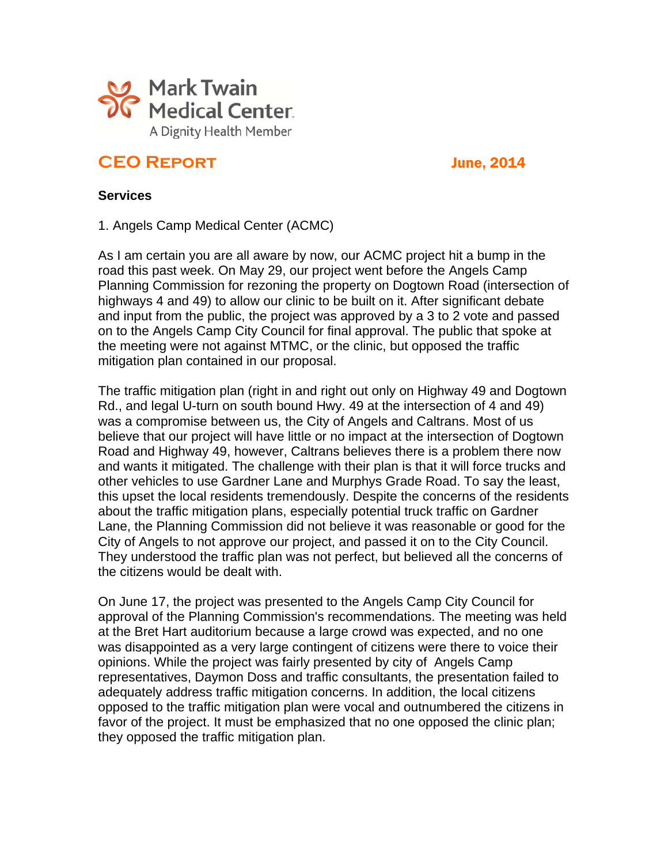

# **CEO Report** June, 2014

#### **Services**

1. Angels Camp Medical Center (ACMC)

As I am certain you are all aware by now, our ACMC project hit a bump in the road this past week. On May 29, our project went before the Angels Camp Planning Commission for rezoning the property on Dogtown Road (intersection of highways 4 and 49) to allow our clinic to be built on it. After significant debate and input from the public, the project was approved by a 3 to 2 vote and passed on to the Angels Camp City Council for final approval. The public that spoke at the meeting were not against MTMC, or the clinic, but opposed the traffic mitigation plan contained in our proposal.

The traffic mitigation plan (right in and right out only on Highway 49 and Dogtown Rd., and legal U-turn on south bound Hwy. 49 at the intersection of 4 and 49) was a compromise between us, the City of Angels and Caltrans. Most of us believe that our project will have little or no impact at the intersection of Dogtown Road and Highway 49, however, Caltrans believes there is a problem there now and wants it mitigated. The challenge with their plan is that it will force trucks and other vehicles to use Gardner Lane and Murphys Grade Road. To say the least, this upset the local residents tremendously. Despite the concerns of the residents about the traffic mitigation plans, especially potential truck traffic on Gardner Lane, the Planning Commission did not believe it was reasonable or good for the City of Angels to not approve our project, and passed it on to the City Council. They understood the traffic plan was not perfect, but believed all the concerns of the citizens would be dealt with.

On June 17, the project was presented to the Angels Camp City Council for approval of the Planning Commission's recommendations. The meeting was held at the Bret Hart auditorium because a large crowd was expected, and no one was disappointed as a very large contingent of citizens were there to voice their opinions. While the project was fairly presented by city of Angels Camp representatives, Daymon Doss and traffic consultants, the presentation failed to adequately address traffic mitigation concerns. In addition, the local citizens opposed to the traffic mitigation plan were vocal and outnumbered the citizens in favor of the project. It must be emphasized that no one opposed the clinic plan; they opposed the traffic mitigation plan.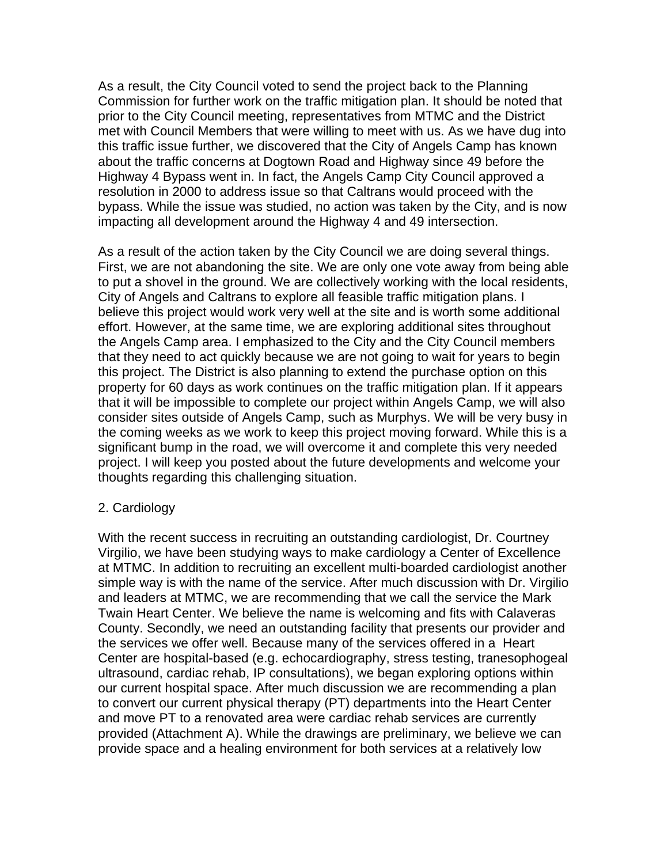As a result, the City Council voted to send the project back to the Planning Commission for further work on the traffic mitigation plan. It should be noted that prior to the City Council meeting, representatives from MTMC and the District met with Council Members that were willing to meet with us. As we have dug into this traffic issue further, we discovered that the City of Angels Camp has known about the traffic concerns at Dogtown Road and Highway since 49 before the Highway 4 Bypass went in. In fact, the Angels Camp City Council approved a resolution in 2000 to address issue so that Caltrans would proceed with the bypass. While the issue was studied, no action was taken by the City, and is now impacting all development around the Highway 4 and 49 intersection.

As a result of the action taken by the City Council we are doing several things. First, we are not abandoning the site. We are only one vote away from being able to put a shovel in the ground. We are collectively working with the local residents, City of Angels and Caltrans to explore all feasible traffic mitigation plans. I believe this project would work very well at the site and is worth some additional effort. However, at the same time, we are exploring additional sites throughout the Angels Camp area. I emphasized to the City and the City Council members that they need to act quickly because we are not going to wait for years to begin this project. The District is also planning to extend the purchase option on this property for 60 days as work continues on the traffic mitigation plan. If it appears that it will be impossible to complete our project within Angels Camp, we will also consider sites outside of Angels Camp, such as Murphys. We will be very busy in the coming weeks as we work to keep this project moving forward. While this is a significant bump in the road, we will overcome it and complete this very needed project. I will keep you posted about the future developments and welcome your thoughts regarding this challenging situation.

#### 2. Cardiology

With the recent success in recruiting an outstanding cardiologist, Dr. Courtney Virgilio, we have been studying ways to make cardiology a Center of Excellence at MTMC. In addition to recruiting an excellent multi-boarded cardiologist another simple way is with the name of the service. After much discussion with Dr. Virgilio and leaders at MTMC, we are recommending that we call the service the Mark Twain Heart Center. We believe the name is welcoming and fits with Calaveras County. Secondly, we need an outstanding facility that presents our provider and the services we offer well. Because many of the services offered in a Heart Center are hospital-based (e.g. echocardiography, stress testing, tranesophogeal ultrasound, cardiac rehab, IP consultations), we began exploring options within our current hospital space. After much discussion we are recommending a plan to convert our current physical therapy (PT) departments into the Heart Center and move PT to a renovated area were cardiac rehab services are currently provided (Attachment A). While the drawings are preliminary, we believe we can provide space and a healing environment for both services at a relatively low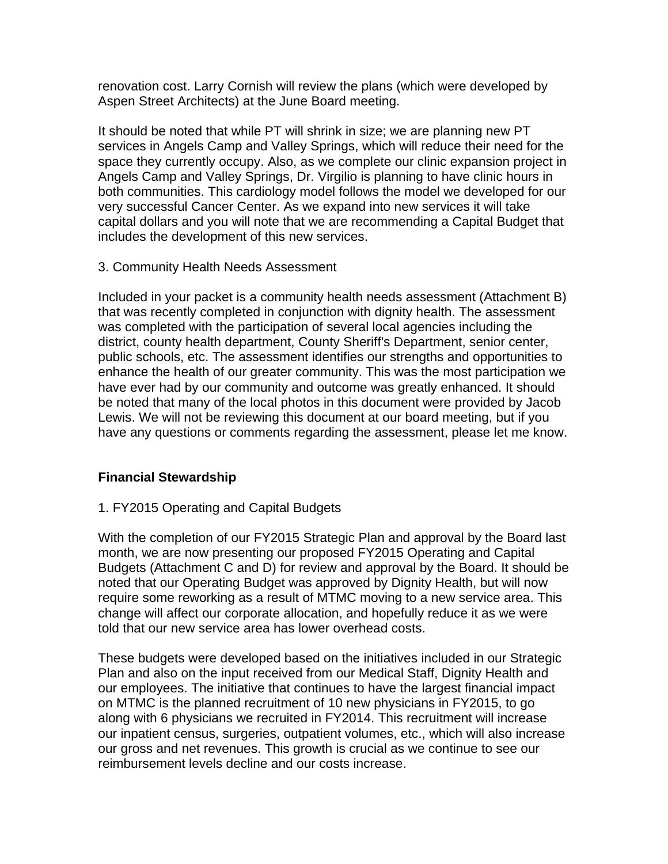renovation cost. Larry Cornish will review the plans (which were developed by Aspen Street Architects) at the June Board meeting.

It should be noted that while PT will shrink in size; we are planning new PT services in Angels Camp and Valley Springs, which will reduce their need for the space they currently occupy. Also, as we complete our clinic expansion project in Angels Camp and Valley Springs, Dr. Virgilio is planning to have clinic hours in both communities. This cardiology model follows the model we developed for our very successful Cancer Center. As we expand into new services it will take capital dollars and you will note that we are recommending a Capital Budget that includes the development of this new services.

#### 3. Community Health Needs Assessment

Included in your packet is a community health needs assessment (Attachment B) that was recently completed in conjunction with dignity health. The assessment was completed with the participation of several local agencies including the district, county health department, County Sheriff's Department, senior center, public schools, etc. The assessment identifies our strengths and opportunities to enhance the health of our greater community. This was the most participation we have ever had by our community and outcome was greatly enhanced. It should be noted that many of the local photos in this document were provided by Jacob Lewis. We will not be reviewing this document at our board meeting, but if you have any questions or comments regarding the assessment, please let me know.

#### **Financial Stewardship**

#### 1. FY2015 Operating and Capital Budgets

With the completion of our FY2015 Strategic Plan and approval by the Board last month, we are now presenting our proposed FY2015 Operating and Capital Budgets (Attachment C and D) for review and approval by the Board. It should be noted that our Operating Budget was approved by Dignity Health, but will now require some reworking as a result of MTMC moving to a new service area. This change will affect our corporate allocation, and hopefully reduce it as we were told that our new service area has lower overhead costs.

These budgets were developed based on the initiatives included in our Strategic Plan and also on the input received from our Medical Staff, Dignity Health and our employees. The initiative that continues to have the largest financial impact on MTMC is the planned recruitment of 10 new physicians in FY2015, to go along with 6 physicians we recruited in FY2014. This recruitment will increase our inpatient census, surgeries, outpatient volumes, etc., which will also increase our gross and net revenues. This growth is crucial as we continue to see our reimbursement levels decline and our costs increase.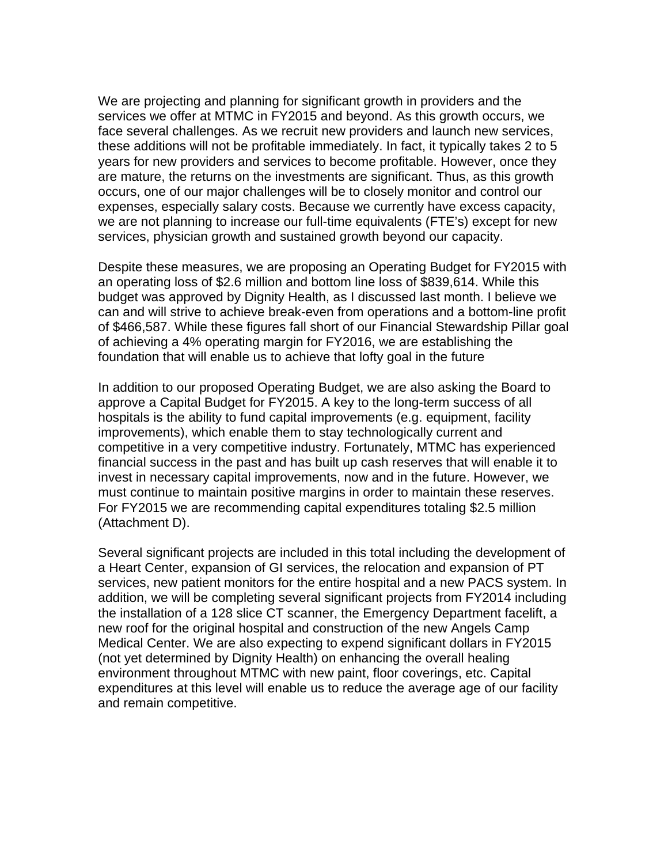We are projecting and planning for significant growth in providers and the services we offer at MTMC in FY2015 and beyond. As this growth occurs, we face several challenges. As we recruit new providers and launch new services, these additions will not be profitable immediately. In fact, it typically takes 2 to 5 years for new providers and services to become profitable. However, once they are mature, the returns on the investments are significant. Thus, as this growth occurs, one of our major challenges will be to closely monitor and control our expenses, especially salary costs. Because we currently have excess capacity, we are not planning to increase our full-time equivalents (FTE's) except for new services, physician growth and sustained growth beyond our capacity.

Despite these measures, we are proposing an Operating Budget for FY2015 with an operating loss of \$2.6 million and bottom line loss of \$839,614. While this budget was approved by Dignity Health, as I discussed last month. I believe we can and will strive to achieve break-even from operations and a bottom-line profit of \$466,587. While these figures fall short of our Financial Stewardship Pillar goal of achieving a 4% operating margin for FY2016, we are establishing the foundation that will enable us to achieve that lofty goal in the future

In addition to our proposed Operating Budget, we are also asking the Board to approve a Capital Budget for FY2015. A key to the long-term success of all hospitals is the ability to fund capital improvements (e.g. equipment, facility improvements), which enable them to stay technologically current and competitive in a very competitive industry. Fortunately, MTMC has experienced financial success in the past and has built up cash reserves that will enable it to invest in necessary capital improvements, now and in the future. However, we must continue to maintain positive margins in order to maintain these reserves. For FY2015 we are recommending capital expenditures totaling \$2.5 million (Attachment D).

Several significant projects are included in this total including the development of a Heart Center, expansion of GI services, the relocation and expansion of PT services, new patient monitors for the entire hospital and a new PACS system. In addition, we will be completing several significant projects from FY2014 including the installation of a 128 slice CT scanner, the Emergency Department facelift, a new roof for the original hospital and construction of the new Angels Camp Medical Center. We are also expecting to expend significant dollars in FY2015 (not yet determined by Dignity Health) on enhancing the overall healing environment throughout MTMC with new paint, floor coverings, etc. Capital expenditures at this level will enable us to reduce the average age of our facility and remain competitive.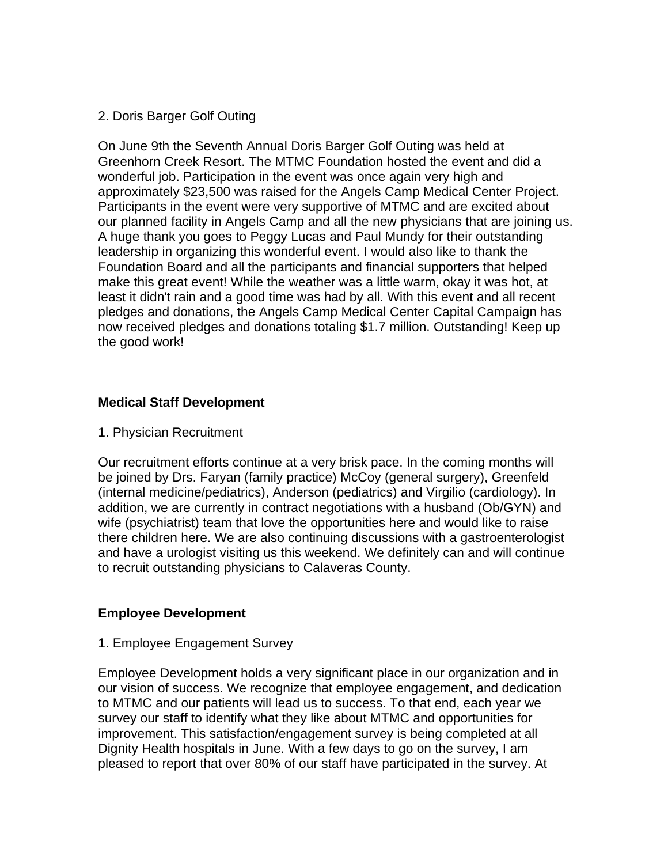# 2. Doris Barger Golf Outing

On June 9th the Seventh Annual Doris Barger Golf Outing was held at Greenhorn Creek Resort. The MTMC Foundation hosted the event and did a wonderful job. Participation in the event was once again very high and approximately \$23,500 was raised for the Angels Camp Medical Center Project. Participants in the event were very supportive of MTMC and are excited about our planned facility in Angels Camp and all the new physicians that are joining us. A huge thank you goes to Peggy Lucas and Paul Mundy for their outstanding leadership in organizing this wonderful event. I would also like to thank the Foundation Board and all the participants and financial supporters that helped make this great event! While the weather was a little warm, okay it was hot, at least it didn't rain and a good time was had by all. With this event and all recent pledges and donations, the Angels Camp Medical Center Capital Campaign has now received pledges and donations totaling \$1.7 million. Outstanding! Keep up the good work!

# **Medical Staff Development**

#### 1. Physician Recruitment

Our recruitment efforts continue at a very brisk pace. In the coming months will be joined by Drs. Faryan (family practice) McCoy (general surgery), Greenfeld (internal medicine/pediatrics), Anderson (pediatrics) and Virgilio (cardiology). In addition, we are currently in contract negotiations with a husband (Ob/GYN) and wife (psychiatrist) team that love the opportunities here and would like to raise there children here. We are also continuing discussions with a gastroenterologist and have a urologist visiting us this weekend. We definitely can and will continue to recruit outstanding physicians to Calaveras County.

#### **Employee Development**

#### 1. Employee Engagement Survey

Employee Development holds a very significant place in our organization and in our vision of success. We recognize that employee engagement, and dedication to MTMC and our patients will lead us to success. To that end, each year we survey our staff to identify what they like about MTMC and opportunities for improvement. This satisfaction/engagement survey is being completed at all Dignity Health hospitals in June. With a few days to go on the survey, I am pleased to report that over 80% of our staff have participated in the survey. At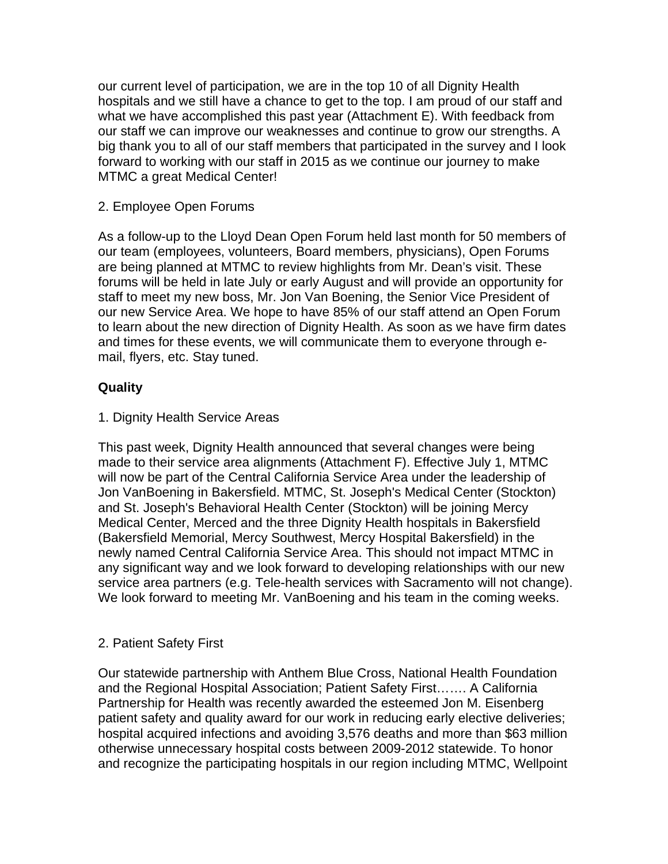our current level of participation, we are in the top 10 of all Dignity Health hospitals and we still have a chance to get to the top. I am proud of our staff and what we have accomplished this past year (Attachment E). With feedback from our staff we can improve our weaknesses and continue to grow our strengths. A big thank you to all of our staff members that participated in the survey and I look forward to working with our staff in 2015 as we continue our journey to make MTMC a great Medical Center!

## 2. Employee Open Forums

As a follow-up to the Lloyd Dean Open Forum held last month for 50 members of our team (employees, volunteers, Board members, physicians), Open Forums are being planned at MTMC to review highlights from Mr. Dean's visit. These forums will be held in late July or early August and will provide an opportunity for staff to meet my new boss, Mr. Jon Van Boening, the Senior Vice President of our new Service Area. We hope to have 85% of our staff attend an Open Forum to learn about the new direction of Dignity Health. As soon as we have firm dates and times for these events, we will communicate them to everyone through email, flyers, etc. Stay tuned.

# **Quality**

#### 1. Dignity Health Service Areas

This past week, Dignity Health announced that several changes were being made to their service area alignments (Attachment F). Effective July 1, MTMC will now be part of the Central California Service Area under the leadership of Jon VanBoening in Bakersfield. MTMC, St. Joseph's Medical Center (Stockton) and St. Joseph's Behavioral Health Center (Stockton) will be joining Mercy Medical Center, Merced and the three Dignity Health hospitals in Bakersfield (Bakersfield Memorial, Mercy Southwest, Mercy Hospital Bakersfield) in the newly named Central California Service Area. This should not impact MTMC in any significant way and we look forward to developing relationships with our new service area partners (e.g. Tele-health services with Sacramento will not change). We look forward to meeting Mr. VanBoening and his team in the coming weeks.

#### 2. Patient Safety First

Our statewide partnership with Anthem Blue Cross, National Health Foundation and the Regional Hospital Association; Patient Safety First……. A California Partnership for Health was recently awarded the esteemed Jon M. Eisenberg patient safety and quality award for our work in reducing early elective deliveries; hospital acquired infections and avoiding 3,576 deaths and more than \$63 million otherwise unnecessary hospital costs between 2009-2012 statewide. To honor and recognize the participating hospitals in our region including MTMC, Wellpoint